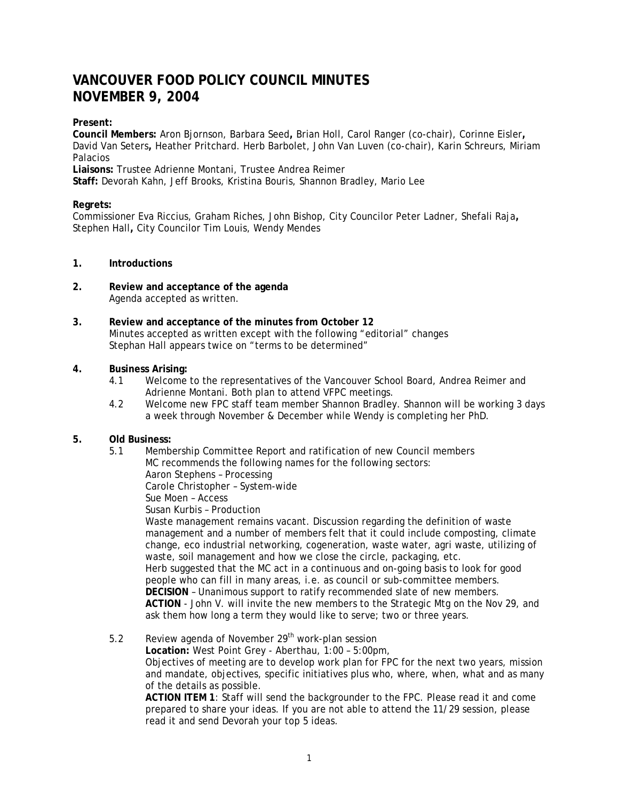# **VANCOUVER FOOD POLICY COUNCIL MINUTES NOVEMBER 9, 2004**

# **Present:**

**Council Members:** Aron Bjornson, Barbara Seed**,** Brian Holl, Carol Ranger (co-chair), Corinne Eisler**,**  David Van Seters**,** Heather Pritchard. Herb Barbolet, John Van Luven (co-chair), Karin Schreurs, Miriam Palacios

**Liaisons:** Trustee Adrienne Montani, Trustee Andrea Reimer

**Staff:** Devorah Kahn, Jeff Brooks, Kristina Bouris, Shannon Bradley, Mario Lee

# **Regrets:**

Commissioner Eva Riccius, Graham Riches, John Bishop, City Councilor Peter Ladner, Shefali Raja**,**  Stephen Hall**,** City Councilor Tim Louis, Wendy Mendes

# **1. Introductions**

- **2. Review and acceptance of the agenda** Agenda accepted as written.
- **3. Review and acceptance of the minutes from October 12** Minutes accepted as written except with the following "editorial" changes Stephan Hall appears twice on "terms to be determined"

# **4. Business Arising:**

- 4.1 Welcome to the representatives of the Vancouver School Board, Andrea Reimer and Adrienne Montani. Both plan to attend VFPC meetings.
- 4.2 Welcome new FPC staff team member Shannon Bradley. Shannon will be working 3 days a week through November & December while Wendy is completing her PhD.

# **5. Old Business:**

5.1 Membership Committee Report and ratification of new Council members MC recommends the following names for the following sectors: Aaron Stephens – Processing Carole Christopher – System-wide Sue Moen – Access Susan Kurbis – Production Waste management remains vacant. Discussion regarding the definition of waste management and a number of members felt that it could include composting, climate

change, eco industrial networking, cogeneration, waste water, agri waste, utilizing of waste, soil management and how we close the circle, packaging, etc. Herb suggested that the MC act in a continuous and on-going basis to look for good people who can fill in many areas, i.e. as council or sub-committee members. **DECISION** – Unanimous support to ratify recommended slate of new members. **ACTION** - John V. will invite the new members to the Strategic Mtg on the Nov 29, and ask them how long a term they would like to serve; two or three years.

5.2 Review agenda of November 29<sup>th</sup> work-plan session

**Location:** West Point Grey - Aberthau, 1:00 – 5:00pm, Objectives of meeting are to develop work plan for FPC for the next two years, mission and mandate, objectives, specific initiatives plus who, where, when, what and as many of the details as possible.

**ACTION ITEM 1**: Staff will send the backgrounder to the FPC. Please read it and come prepared to share your ideas. If you are not able to attend the 11/29 session, please read it and send Devorah your top 5 ideas.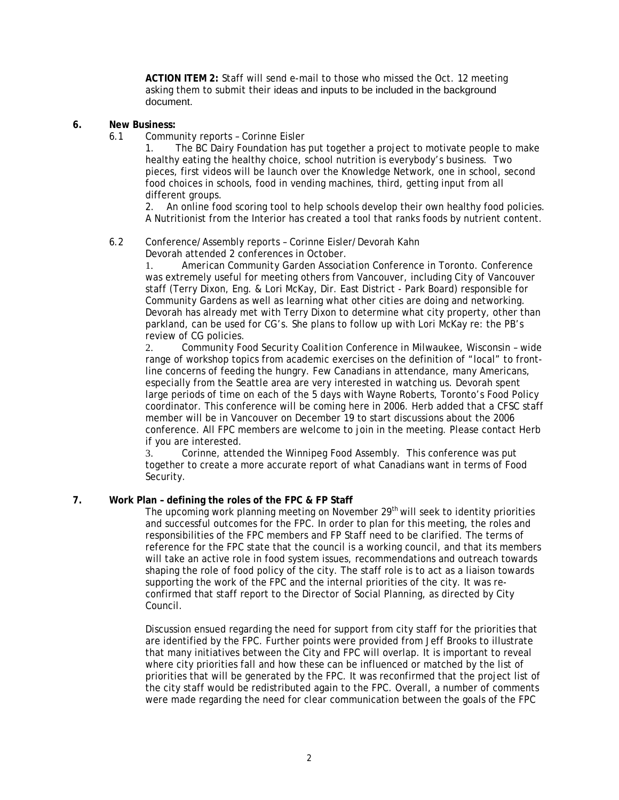**ACTION ITEM 2:** Staff will send e-mail to those who missed the Oct. 12 meeting asking them to submit their ideas and inputs to be included in the background document.

- **6. New Business:** 
	- 6.1 Community reports Corinne Eisler

1. The BC Dairy Foundation has put together a project to motivate people to make healthy eating the healthy choice, school nutrition is everybody's business. Two pieces, first videos will be launch over the Knowledge Network, one in school, second food choices in schools, food in vending machines, third, getting input from all different groups.

2. An online food scoring tool to help schools develop their own healthy food policies. A Nutritionist from the Interior has created a tool that ranks foods by nutrient content.

#### 6.2 Conference/Assembly reports – Corinne Eisler/Devorah Kahn Devorah attended 2 conferences in October.

1. *American Community Garden Association* Conference in Toronto. Conference was extremely useful for meeting others from Vancouver, including City of Vancouver staff (Terry Dixon, Eng. & Lori McKay, Dir. East District - Park Board) responsible for Community Gardens as well as learning what other cities are doing and networking. Devorah has already met with Terry Dixon to determine what city property, other than parkland, can be used for CG's. She plans to follow up with Lori McKay re: the PB's review of CG policies.

2. *Community Food Security Coalition* Conference in Milwaukee, Wisconsin – wide range of workshop topics from academic exercises on the definition of "local" to frontline concerns of feeding the hungry. Few Canadians in attendance, many Americans, especially from the Seattle area are very interested in watching us. Devorah spent large periods of time on each of the 5 days with Wayne Roberts, Toronto's Food Policy coordinator. This conference will be coming here in 2006. Herb added that a CFSC staff member will be in Vancouver on December 19 to start discussions about the 2006 conference. All FPC members are welcome to join in the meeting. Please contact Herb if you are interested.

3. Corinne, attended the Winnipeg Food Assembly. This conference was put together to create a more accurate report of what Canadians want in terms of Food Security.

# **7. Work Plan – defining the roles of the FPC & FP Staff**

The upcoming work planning meeting on November 29<sup>th</sup> will seek to identity priorities and successful outcomes for the FPC. In order to plan for this meeting, the roles and responsibilities of the FPC members and FP Staff need to be clarified. The terms of reference for the FPC state that the council is a working council, and that its members will take an active role in food system issues, recommendations and outreach towards shaping the role of food policy of the city. The staff role is to act as a liaison towards supporting the work of the FPC and the internal priorities of the city. It was reconfirmed that staff report to the Director of Social Planning, as directed by City Council.

Discussion ensued regarding the need for support from city staff for the priorities that are identified by the FPC. Further points were provided from Jeff Brooks to illustrate that many initiatives between the City and FPC will overlap. It is important to reveal where city priorities fall and how these can be influenced or matched by the list of priorities that will be generated by the FPC. It was reconfirmed that the project list of the city staff would be redistributed again to the FPC. Overall, a number of comments were made regarding the need for clear communication between the goals of the FPC